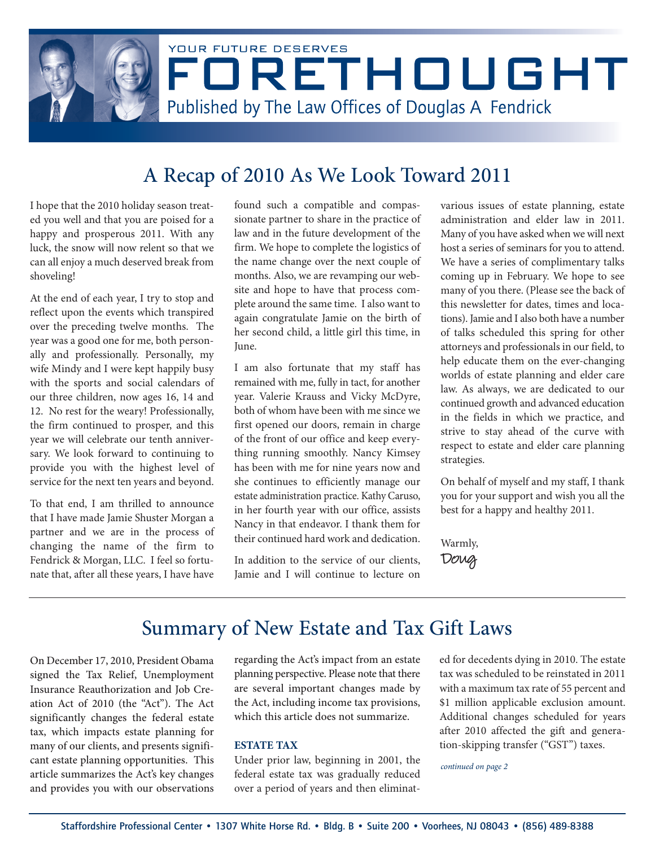

# A Recap of 2010 As We Look Toward 2011

I hope that the 2010 holiday season treated you well and that you are poised for a happy and prosperous 2011. With any luck, the snow will now relent so that we can all enjoy a much deserved break from shoveling!

At the end of each year, I try to stop and reflect upon the events which transpired over the preceding twelve months. The year was a good one for me, both personally and professionally. Personally, my wife Mindy and I were kept happily busy with the sports and social calendars of our three children, now ages 16, 14 and 12. No rest for the weary! Professionally, the firm continued to prosper, and this year we will celebrate our tenth anniversary. We look forward to continuing to provide you with the highest level of service for the next ten years and beyond.

To that end, I am thrilled to announce that I have made Jamie Shuster Morgan a partner and we are in the process of changing the name of the firm to Fendrick & Morgan, LLC. I feel so fortunate that, after all these years, I have have

found such a compatible and compassionate partner to share in the practice of law and in the future development of the firm. We hope to complete the logistics of the name change over the next couple of months. Also, we are revamping our website and hope to have that process complete around the same time. I also want to again congratulate Jamie on the birth of her second child, a little girl this time, in June.

I am also fortunate that my staff has remained with me, fully in tact, for another year. Valerie Krauss and Vicky McDyre, both of whom have been with me since we first opened our doors, remain in charge of the front of our office and keep everything running smoothly. Nancy Kimsey has been with me for nine years now and she continues to efficiently manage our estate administration practice. Kathy Caruso, in her fourth year with our office, assists Nancy in that endeavor. I thank them for their continued hard work and dedication.

In addition to the service of our clients, Jamie and I will continue to lecture on various issues of estate planning, estate administration and elder law in 2011. Many of you have asked when we will next host a series of seminars for you to attend. We have a series of complimentary talks coming up in February. We hope to see many of you there. (Please see the back of this newsletter for dates, times and locations). Jamie and I also both have a number of talks scheduled this spring for other attorneys and professionals in our field, to help educate them on the ever-changing worlds of estate planning and elder care law. As always, we are dedicated to our continued growth and advanced education in the fields in which we practice, and strive to stay ahead of the curve with respect to estate and elder care planning strategies.

On behalf of myself and my staff, I thank you for your support and wish you all the best for a happy and healthy 2011.

Warmly, Doug

## Summary of New Estate and Tax Gift Laws

On December 17, 2010, President Obama signed the Tax Relief, Unemployment Insurance Reauthorization and Job Creation Act of 2010 (the "Act"). The Act significantly changes the federal estate tax, which impacts estate planning for many of our clients, and presents significant estate planning opportunities. This article summarizes the Act's key changes and provides you with our observations

regarding the Act's impact from an estate planning perspective. Please note that there are several important changes made by the Act, including income tax provisions, which this article does not summarize.

#### **ESTATE TAX**

Under prior law, beginning in 2001, the federal estate tax was gradually reduced over a period of years and then eliminated for decedents dying in 2010. The estate tax was scheduled to be reinstated in 2011 with a maximum tax rate of 55 percent and \$1 million applicable exclusion amount. Additional changes scheduled for years after 2010 affected the gift and generation-skipping transfer ("GST") taxes.

continued on page 2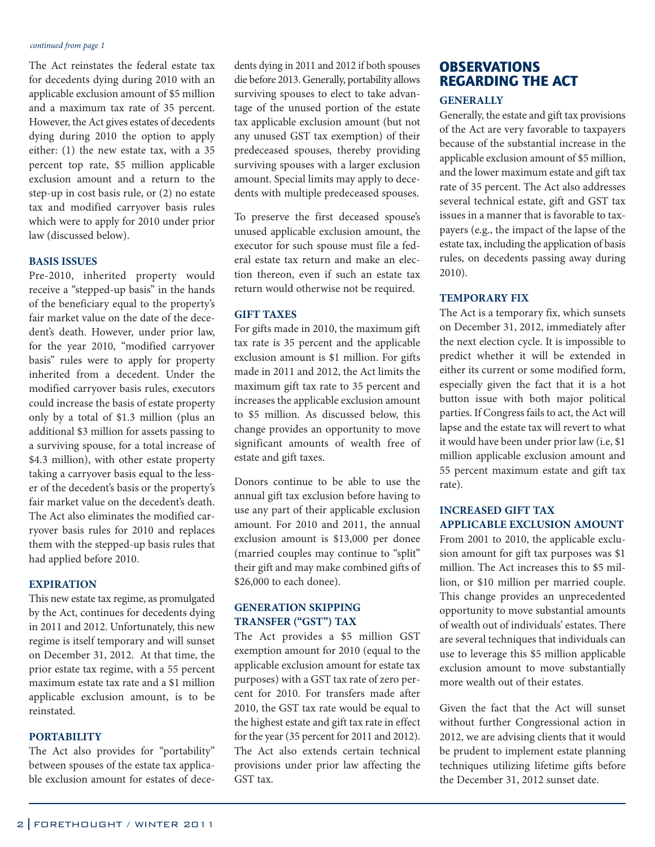#### continued from page 1

The Act reinstates the federal estate tax for decedents dying during 2010 with an applicable exclusion amount of \$5 million and a maximum tax rate of 35 percent. However, the Act gives estates of decedents dying during 2010 the option to apply either: (1) the new estate tax, with a 35 percent top rate, \$5 million applicable exclusion amount and a return to the step-up in cost basis rule, or (2) no estate tax and modified carryover basis rules which were to apply for 2010 under prior law (discussed below).

#### **BASIS ISSUES**

Pre-2010, inherited property would receive a "stepped-up basis" in the hands of the beneficiary equal to the property's fair market value on the date of the decedent's death. However, under prior law, for the year 2010, "modified carryover basis" rules were to apply for property inherited from a decedent. Under the modified carryover basis rules, executors could increase the basis of estate property only by a total of \$1.3 million (plus an additional \$3 million for assets passing to a surviving spouse, for a total increase of \$4.3 million), with other estate property taking a carryover basis equal to the lesser of the decedent's basis or the property's fair market value on the decedent's death. The Act also eliminates the modified carryover basis rules for 2010 and replaces them with the stepped-up basis rules that had applied before 2010.

#### **EXPIRATION**

This new estate tax regime, as promulgated by the Act, continues for decedents dying in 2011 and 2012. Unfortunately, this new regime is itself temporary and will sunset on December 31, 2012. At that time, the prior estate tax regime, with a 55 percent maximum estate tax rate and a \$1 million applicable exclusion amount, is to be reinstated.

#### **PORTABILITY**

The Act also provides for "portability" between spouses of the estate tax applicable exclusion amount for estates of decedents dying in 2011 and 2012 if both spouses die before 2013. Generally, portability allows surviving spouses to elect to take advantage of the unused portion of the estate tax applicable exclusion amount (but not any unused GST tax exemption) of their predeceased spouses, thereby providing surviving spouses with a larger exclusion amount. Special limits may apply to decedents with multiple predeceased spouses.

To preserve the first deceased spouse's unused applicable exclusion amount, the executor for such spouse must file a federal estate tax return and make an election thereon, even if such an estate tax return would otherwise not be required.

#### **GIFT TAXES**

For gifts made in 2010, the maximum gift tax rate is 35 percent and the applicable exclusion amount is \$1 million. For gifts made in 2011 and 2012, the Act limits the maximum gift tax rate to 35 percent and increases the applicable exclusion amount to \$5 million. As discussed below, this change provides an opportunity to move significant amounts of wealth free of estate and gift taxes.

Donors continue to be able to use the annual gift tax exclusion before having to use any part of their applicable exclusion amount. For 2010 and 2011, the annual exclusion amount is \$13,000 per donee (married couples may continue to "split" their gift and may make combined gifts of \$26,000 to each donee).

#### **GENERATION SKIPPING TRANSFER ("GST") TAX**

The Act provides a \$5 million GST exemption amount for 2010 (equal to the applicable exclusion amount for estate tax purposes) with a GST tax rate of zero percent for 2010. For transfers made after 2010, the GST tax rate would be equal to the highest estate and gift tax rate in effect for the year (35 percent for 2011 and 2012). The Act also extends certain technical provisions under prior law affecting the GST tax.

### **OBSERVATIONS** REGARDING THE ACT

#### **GENERALLY**

Generally, the estate and gift tax provisions of the Act are very favorable to taxpayers because of the substantial increase in the applicable exclusion amount of \$5 million, and the lower maximum estate and gift tax rate of 35 percent. The Act also addresses several technical estate, gift and GST tax issues in a manner that is favorable to taxpayers (e.g., the impact of the lapse of the estate tax, including the application of basis rules, on decedents passing away during 2010).

#### **TEMPORARY FIX**

The Act is a temporary fix, which sunsets on December 31, 2012, immediately after the next election cycle. It is impossible to predict whether it will be extended in either its current or some modified form, especially given the fact that it is a hot button issue with both major political parties. If Congress fails to act, the Act will lapse and the estate tax will revert to what it would have been under prior law (i.e, \$1 million applicable exclusion amount and 55 percent maximum estate and gift tax rate).

#### **INCREASED GIFT TAX APPLICABLE EXCLUSION AMOUNT**

From 2001 to 2010, the applicable exclusion amount for gift tax purposes was \$1 million. The Act increases this to \$5 million, or \$10 million per married couple. This change provides an unprecedented opportunity to move substantial amounts of wealth out of individuals' estates. There are several techniques that individuals can use to leverage this \$5 million applicable exclusion amount to move substantially more wealth out of their estates.

Given the fact that the Act will sunset without further Congressional action in 2012, we are advising clients that it would be prudent to implement estate planning techniques utilizing lifetime gifts before the December 31, 2012 sunset date.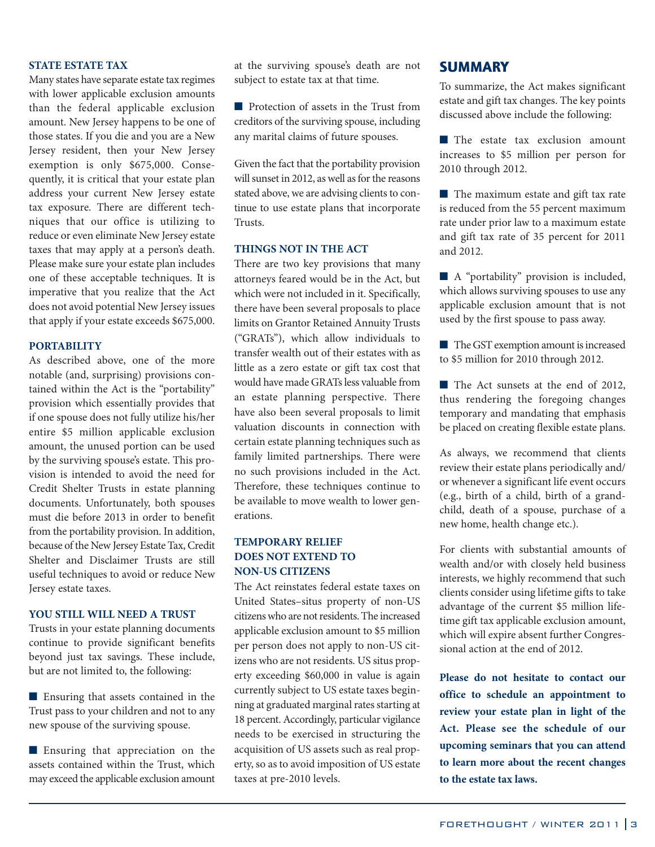#### **STATE ESTATE TAX**

Many states have separate estate tax regimes with lower applicable exclusion amounts than the federal applicable exclusion amount. New Jersey happens to be one of those states. If you die and you are a New Jersey resident, then your New Jersey exemption is only \$675,000. Consequently, it is critical that your estate plan address your current New Jersey estate tax exposure. There are different techniques that our office is utilizing to reduce or even eliminate New Jersey estate taxes that may apply at a person's death. Please make sure your estate plan includes one of these acceptable techniques. It is imperative that you realize that the Act does not avoid potential New Jersey issues that apply if your estate exceeds \$675,000.

#### **PORTABILITY**

As described above, one of the more notable (and, surprising) provisions contained within the Act is the "portability" provision which essentially provides that if one spouse does not fully utilize his/her entire \$5 million applicable exclusion amount, the unused portion can be used by the surviving spouse's estate. This provision is intended to avoid the need for Credit Shelter Trusts in estate planning documents. Unfortunately, both spouses must die before 2013 in order to benefit from the portability provision. In addition, because of the New Jersey Estate Tax, Credit Shelter and Disclaimer Trusts are still useful techniques to avoid or reduce New Jersey estate taxes.

#### **YOU STILL WILL NEED A TRUST**

Trusts in your estate planning documents continue to provide significant benefits beyond just tax savings. These include, but are not limited to, the following:

■ Ensuring that assets contained in the Trust pass to your children and not to any new spouse of the surviving spouse.

■ Ensuring that appreciation on the assets contained within the Trust, which may exceed the applicable exclusion amount at the surviving spouse's death are not subject to estate tax at that time.

■ Protection of assets in the Trust from creditors of the surviving spouse, including any marital claims of future spouses.

Given the fact that the portability provision will sunset in 2012, as well as for the reasons stated above, we are advising clients to continue to use estate plans that incorporate Trusts.

#### **THINGS NOT IN THE ACT**

There are two key provisions that many attorneys feared would be in the Act, but which were not included in it. Specifically, there have been several proposals to place limits on Grantor Retained Annuity Trusts ("GRATs"), which allow individuals to transfer wealth out of their estates with as little as a zero estate or gift tax cost that would have made GRATs less valuable from an estate planning perspective. There have also been several proposals to limit valuation discounts in connection with certain estate planning techniques such as family limited partnerships. There were no such provisions included in the Act. Therefore, these techniques continue to be available to move wealth to lower generations.

#### **TEMPORARY RELIEF DOES NOT EXTEND TO NON-US CITIZENS**

The Act reinstates federal estate taxes on United States–situs property of non-US citizens who are not residents. The increased applicable exclusion amount to \$5 million per person does not apply to non-US citizens who are not residents. US situs property exceeding \$60,000 in value is again currently subject to US estate taxes beginning at graduated marginal rates starting at 18 percent. Accordingly, particular vigilance needs to be exercised in structuring the acquisition of US assets such as real property, so as to avoid imposition of US estate taxes at pre-2010 levels.

#### SUMMARY

To summarize, the Act makes significant estate and gift tax changes. The key points discussed above include the following:

■ The estate tax exclusion amount increases to \$5 million per person for 2010 through 2012.

■ The maximum estate and gift tax rate is reduced from the 55 percent maximum rate under prior law to a maximum estate and gift tax rate of 35 percent for 2011 and 2012.

■ A "portability" provision is included, which allows surviving spouses to use any applicable exclusion amount that is not used by the first spouse to pass away.

■ The GST exemption amount is increased to \$5 million for 2010 through 2012.

■ The Act sunsets at the end of 2012, thus rendering the foregoing changes temporary and mandating that emphasis be placed on creating flexible estate plans.

As always, we recommend that clients review their estate plans periodically and/ or whenever a significant life event occurs (e.g., birth of a child, birth of a grandchild, death of a spouse, purchase of a new home, health change etc.).

For clients with substantial amounts of wealth and/or with closely held business interests, we highly recommend that such clients consider using lifetime gifts to take advantage of the current \$5 million lifetime gift tax applicable exclusion amount, which will expire absent further Congressional action at the end of 2012.

**Please do not hesitate to contact our office to schedule an appointment to review your estate plan in light of the Act. Please see the schedule of our upcoming seminars that you can attend to learn more about the recent changes to the estate tax laws.**